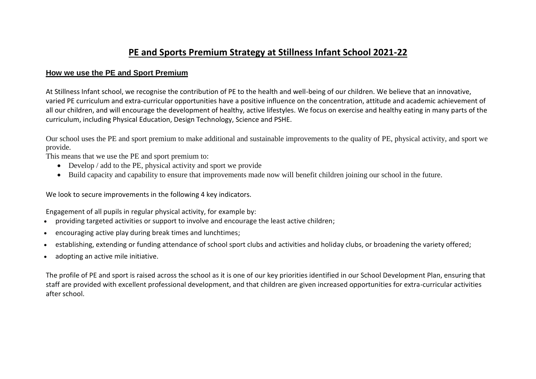## **PE and Sports Premium Strategy at Stillness Infant School 2021-22**

## **How we use the PE and Sport Premium**

At Stillness Infant school, we recognise the contribution of PE to the health and well-being of our children. We believe that an innovative, varied PE curriculum and extra-curricular opportunities have a positive influence on the concentration, attitude and academic achievement of all our children, and will encourage the development of healthy, active lifestyles. We focus on exercise and healthy eating in many parts of the curriculum, including Physical Education, Design Technology, Science and PSHE.

Our school uses the PE and sport premium to make additional and sustainable improvements to the quality of PE, physical activity, and sport we provide.

This means that we use the PE and sport premium to:

- Develop / add to the PE, physical activity and sport we provide
- Build capacity and capability to ensure that improvements made now will benefit children joining our school in the future.

We look to secure improvements in the following 4 key indicators.

Engagement of all pupils in regular physical activity, for example by:

- providing targeted activities or support to involve and encourage the least active children;
- encouraging active play during break times and lunchtimes;
- establishing, extending or funding attendance of school sport clubs and activities and holiday clubs, or broadening the variety offered;
- adopting an active mile initiative.

The profile of PE and sport is raised across the school as it is one of our key priorities identified in our School Development Plan, ensuring that staff are provided with excellent professional development, and that children are given increased opportunities for extra-curricular activities after school.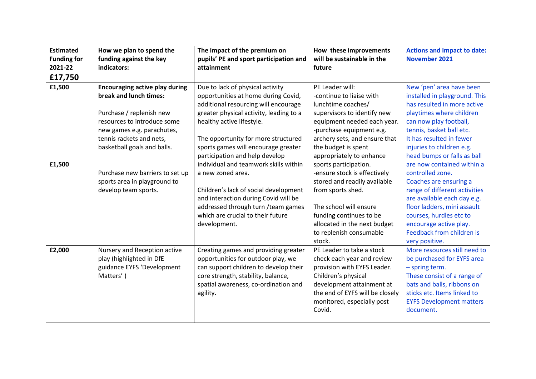| <b>Estimated</b>   | How we plan to spend the              | The impact of the premium on            | How these improvements          | <b>Actions and impact to date:</b> |
|--------------------|---------------------------------------|-----------------------------------------|---------------------------------|------------------------------------|
| <b>Funding for</b> | funding against the key               | pupils' PE and sport participation and  | will be sustainable in the      | <b>November 2021</b>               |
| 2021-22            | indicators:                           | attainment                              | future                          |                                    |
| £17,750            |                                       |                                         |                                 |                                    |
| £1,500             | <b>Encouraging active play during</b> | Due to lack of physical activity        | PE Leader will:                 | New 'pen' area have been           |
|                    | break and lunch times:                | opportunities at home during Covid,     | -continue to liaise with        | installed in playground. This      |
|                    |                                       | additional resourcing will encourage    | lunchtime coaches/              | has resulted in more active        |
|                    | Purchase / replenish new              | greater physical activity, leading to a | supervisors to identify new     | playtimes where children           |
|                    | resources to introduce some           | healthy active lifestyle.               | equipment needed each year.     | can now play football,             |
|                    | new games e.g. parachutes,            |                                         | -purchase equipment e.g.        | tennis, basket ball etc.           |
|                    | tennis rackets and nets,              | The opportunity for more structured     | archery sets, and ensure that   | It has resulted in fewer           |
|                    | basketball goals and balls.           | sports games will encourage greater     | the budget is spent             | injuries to children e.g.          |
|                    |                                       | participation and help develop          | appropriately to enhance        | head bumps or falls as ball        |
| £1,500             |                                       | individual and teamwork skills within   | sports participation.           | are now contained within a         |
|                    | Purchase new barriers to set up       | a new zoned area.                       | -ensure stock is effectively    | controlled zone.                   |
|                    | sports area in playground to          |                                         | stored and readily available    | Coaches are ensuring a             |
|                    | develop team sports.                  | Children's lack of social development   | from sports shed.               | range of different activities      |
|                    |                                       | and interaction during Covid will be    |                                 | are available each day e.g.        |
|                    |                                       | addressed through turn / team games     | The school will ensure          | floor ladders, mini assault        |
|                    |                                       | which are crucial to their future       | funding continues to be         | courses, hurdles etc to            |
|                    |                                       | development.                            | allocated in the next budget    | encourage active play.             |
|                    |                                       |                                         | to replenish consumable         | Feedback from children is          |
|                    |                                       |                                         | stock.                          | very positive.                     |
| £2,000             | Nursery and Reception active          | Creating games and providing greater    | PE Leader to take a stock       | More resources still need to       |
|                    | play (highlighted in DfE              | opportunities for outdoor play, we      | check each year and review      | be purchased for EYFS area         |
|                    | guidance EYFS 'Development            | can support children to develop their   | provision with EYFS Leader.     | $-$ spring term.                   |
|                    | Matters')                             | core strength, stability, balance,      | Children's physical             | These consist of a range of        |
|                    |                                       | spatial awareness, co-ordination and    | development attainment at       | bats and balls, ribbons on         |
|                    |                                       | agility.                                | the end of EYFS will be closely | sticks etc. Items linked to        |
|                    |                                       |                                         | monitored, especially post      | <b>EYFS Development matters</b>    |
|                    |                                       |                                         | Covid.                          | document.                          |
|                    |                                       |                                         |                                 |                                    |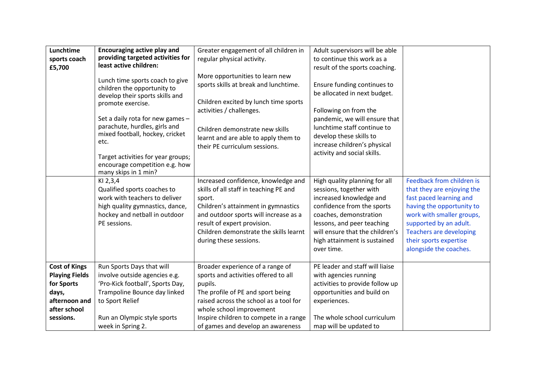| Lunchtime<br>sports coach<br>£5,700                                                                                | <b>Encouraging active play and</b><br>providing targeted activities for<br>least active children:<br>Lunch time sports coach to give<br>children the opportunity to<br>develop their sports skills and<br>promote exercise.<br>Set a daily rota for new games -<br>parachute, hurdles, girls and<br>mixed football, hockey, cricket<br>etc.<br>Target activities for year groups;<br>encourage competition e.g. how<br>many skips in 1 min? | Greater engagement of all children in<br>regular physical activity.<br>More opportunities to learn new<br>sports skills at break and lunchtime.<br>Children excited by lunch time sports<br>activities / challenges.<br>Children demonstrate new skills<br>learnt and are able to apply them to<br>their PE curriculum sessions. | Adult supervisors will be able<br>to continue this work as a<br>result of the sports coaching.<br>Ensure funding continues to<br>be allocated in next budget.<br>Following on from the<br>pandemic, we will ensure that<br>lunchtime staff continue to<br>develop these skills to<br>increase children's physical<br>activity and social skills. |                                                                                                                                                                                                                                                              |
|--------------------------------------------------------------------------------------------------------------------|---------------------------------------------------------------------------------------------------------------------------------------------------------------------------------------------------------------------------------------------------------------------------------------------------------------------------------------------------------------------------------------------------------------------------------------------|----------------------------------------------------------------------------------------------------------------------------------------------------------------------------------------------------------------------------------------------------------------------------------------------------------------------------------|--------------------------------------------------------------------------------------------------------------------------------------------------------------------------------------------------------------------------------------------------------------------------------------------------------------------------------------------------|--------------------------------------------------------------------------------------------------------------------------------------------------------------------------------------------------------------------------------------------------------------|
|                                                                                                                    | KI 2,3,4<br>Qualified sports coaches to<br>work with teachers to deliver<br>high quality gymnastics, dance,<br>hockey and netball in outdoor<br>PE sessions.                                                                                                                                                                                                                                                                                | Increased confidence, knowledge and<br>skills of all staff in teaching PE and<br>sport.<br>Children's attainment in gymnastics<br>and outdoor sports will increase as a<br>result of expert provision.<br>Children demonstrate the skills learnt<br>during these sessions.                                                       | High quality planning for all<br>sessions, together with<br>increased knowledge and<br>confidence from the sports<br>coaches, demonstration<br>lessons, and peer teaching<br>will ensure that the children's<br>high attainment is sustained<br>over time.                                                                                       | Feedback from children is<br>that they are enjoying the<br>fast paced learning and<br>having the opportunity to<br>work with smaller groups,<br>supported by an adult.<br><b>Teachers are developing</b><br>their sports expertise<br>alongside the coaches. |
| <b>Cost of Kings</b><br><b>Playing Fields</b><br>for Sports<br>days,<br>afternoon and<br>after school<br>sessions. | Run Sports Days that will<br>involve outside agencies e.g.<br>'Pro-Kick football', Sports Day,<br>Trampoline Bounce day linked<br>to Sport Relief<br>Run an Olympic style sports<br>week in Spring 2.                                                                                                                                                                                                                                       | Broader experience of a range of<br>sports and activities offered to all<br>pupils.<br>The profile of PE and sport being<br>raised across the school as a tool for<br>whole school improvement<br>Inspire children to compete in a range<br>of games and develop an awareness                                                    | PE leader and staff will liaise<br>with agencies running<br>activities to provide follow up<br>opportunities and build on<br>experiences.<br>The whole school curriculum<br>map will be updated to                                                                                                                                               |                                                                                                                                                                                                                                                              |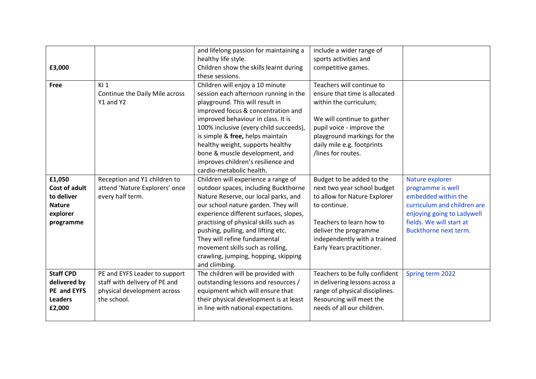|                      |                                | and lifelong passion for maintaining a | include a wider range of       |                             |
|----------------------|--------------------------------|----------------------------------------|--------------------------------|-----------------------------|
|                      |                                | healthy life style.                    | sports activities and          |                             |
| £3,000               |                                | Children show the skills learnt during | competitive games.             |                             |
|                      |                                | these sessions.                        |                                |                             |
| <b>Free</b>          | K11                            | Children will enjoy a 10 minute        | Teachers will continue to      |                             |
|                      | Continue the Daily Mile across | session each afternoon running in the  | ensure that time is allocated  |                             |
|                      | Y1 and Y2                      | playground. This will result in        | within the curriculum;         |                             |
|                      |                                | improved focus & concentration and     |                                |                             |
|                      |                                | improved behaviour in class. It is     | We will continue to gather     |                             |
|                      |                                | 100% inclusive (every child succeeds), | pupil voice - improve the      |                             |
|                      |                                | is simple & free, helps maintain       | playground markings for the    |                             |
|                      |                                | healthy weight, supports healthy       | daily mile e.g. footprints     |                             |
|                      |                                | bone & muscle development, and         | /lines for routes.             |                             |
|                      |                                | improves children's resilience and     |                                |                             |
|                      |                                | cardio-metabolic health.               |                                |                             |
| £1,050               | Reception and Y1 children to   | Children will experience a range of    | Budget to be added to the      | Nature explorer             |
| <b>Cost of adult</b> | attend 'Nature Explorers' once | outdoor spaces, including Buckthorne   | next two year school budget    | programme is well           |
| to deliver           | every half term.               | Nature Reserve, our local parks, and   | to allow for Nature Explorer   | embedded within the         |
| <b>Nature</b>        |                                | our school nature garden. They will    | to continue.                   | curriculum and children are |
| explorer             |                                | experience different surfaces, slopes, |                                | enjoying going to Ladywell  |
| programme            |                                | practising of physical skills such as  | Teachers to learn how to       | fields. We will start at    |
|                      |                                | pushing, pulling, and lifting etc.     | deliver the programme          | Buckthorne next term.       |
|                      |                                | They will refine fundamental           | independently with a trained   |                             |
|                      |                                | movement skills such as rolling,       | Early Years practitioner.      |                             |
|                      |                                | crawling, jumping, hopping, skipping   |                                |                             |
|                      |                                | and climbing.                          |                                |                             |
| <b>Staff CPD</b>     | PE and EYFS Leader to support  | The children will be provided with     | Teachers to be fully confident | Spring term 2022            |
| delivered by         | staff with delivery of PE and  | outstanding lessons and resources /    | in delivering lessons across a |                             |
| PE and EYFS          | physical development across    | equipment which will ensure that       | range of physical disciplines. |                             |
| <b>Leaders</b>       | the school.                    | their physical development is at least | Resourcing will meet the       |                             |
| £2,000               |                                | in line with national expectations.    | needs of all our children.     |                             |
|                      |                                |                                        |                                |                             |